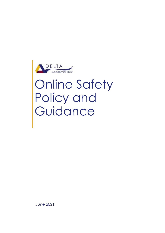

# Online Safety Policy and Guidance

June 2021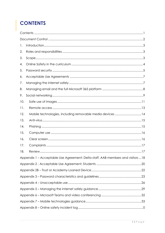# <span id="page-1-0"></span>**CONTENTS**

| 1.                                                                              |                                                          |  |  |  |  |  |  |
|---------------------------------------------------------------------------------|----------------------------------------------------------|--|--|--|--|--|--|
| 2.                                                                              |                                                          |  |  |  |  |  |  |
| 3.                                                                              |                                                          |  |  |  |  |  |  |
| 4.                                                                              |                                                          |  |  |  |  |  |  |
| 5.                                                                              |                                                          |  |  |  |  |  |  |
| 6.                                                                              |                                                          |  |  |  |  |  |  |
| 7.                                                                              |                                                          |  |  |  |  |  |  |
| 8.                                                                              |                                                          |  |  |  |  |  |  |
| 9.                                                                              |                                                          |  |  |  |  |  |  |
| 10.                                                                             |                                                          |  |  |  |  |  |  |
| 11.                                                                             |                                                          |  |  |  |  |  |  |
| 12.                                                                             | Mobile technologies, including removable media devices14 |  |  |  |  |  |  |
| 13.                                                                             |                                                          |  |  |  |  |  |  |
| 14.                                                                             |                                                          |  |  |  |  |  |  |
| 15.                                                                             |                                                          |  |  |  |  |  |  |
| 16.                                                                             |                                                          |  |  |  |  |  |  |
| 17.                                                                             |                                                          |  |  |  |  |  |  |
| 18.                                                                             |                                                          |  |  |  |  |  |  |
| Appendix 1 - Acceptable Use Agreement: Delta staff, AAB members and visitors 18 |                                                          |  |  |  |  |  |  |
|                                                                                 |                                                          |  |  |  |  |  |  |
|                                                                                 |                                                          |  |  |  |  |  |  |
|                                                                                 |                                                          |  |  |  |  |  |  |
|                                                                                 |                                                          |  |  |  |  |  |  |
|                                                                                 |                                                          |  |  |  |  |  |  |
|                                                                                 |                                                          |  |  |  |  |  |  |
|                                                                                 |                                                          |  |  |  |  |  |  |
|                                                                                 |                                                          |  |  |  |  |  |  |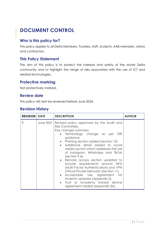# <span id="page-2-0"></span>**DOCUMENT CONTROL**

### **Who is this policy for?**

This policy applies to all Delta Members, Trustees, staff, students, AAB members, visitors and contractors.

### **This Policy Statement**

The aim of this policy is to protect the interests and safety of the whole Delta community and to highlight the range of risks associated with the use of ICT and related technologies.

### **Protective marking**

Not protectively marked.

### **Review date**

This policy will next be reviewed before June 2024.

### **Revision History**

| <b>REVISION   DATE</b> |           | <b>DESCRIPTION</b>                                                                                                                                                                                                                                                                                                                                                                                                                                                                                                                                                                                                                                      | <b>AUTHOR</b> |
|------------------------|-----------|---------------------------------------------------------------------------------------------------------------------------------------------------------------------------------------------------------------------------------------------------------------------------------------------------------------------------------------------------------------------------------------------------------------------------------------------------------------------------------------------------------------------------------------------------------------------------------------------------------------------------------------------------------|---------------|
|                        | June 2021 | Revised policy approved by the Audit and<br>Risk Committee.<br>Key changes summary:<br>Terminology change as per<br>DfE<br>$\bullet$<br>guidance.<br>• Phishing section added (section 15).<br>• Additional detail added to social<br>media section which addresses the use<br>of Instagram, WhatsApp and TikTok<br>$(section 9.6)$ .<br>• Remote access section updated to<br>include requirements around MFA<br>(Multi Factor Authentication) and VPN<br>(Virtual Private Network) (Section 11).<br>• Acceptable Use Agreement for<br>students updated (Appendix 2).<br>Trust or Academy loaned device<br>$\bullet$<br>agreement added (Appendix 2b). |               |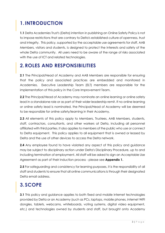# <span id="page-3-0"></span>**1.INTRODUCTION**

**1.1** Delta Academies Trust's (Delta) intention in publishing an Online Safety Policy is not to impose restrictions that are contrary to Delta's established culture of openness, trust and integrity. This policy, supported by the acceptable use agreements for staff, AAB Members, visitors and students, is designed to protect the interests and safety of the whole Delta community. All users need to be aware of the range of risks associated with the use of ICT and related technologies.

### <span id="page-3-1"></span>**2.ROLES AND RESPONSIBILITIES**

**2.1** The Principal/Head of Academy and AAB Members are responsible for ensuring that the policy and associated practices are embedded and monitored in Academies. Executive Leadership Team (ELT) members are responsible for the implementation of this policy in the Core Improvement Team.

**2.2** The Principal/Head of Academy may nominate an online learning or online safety lead in a standalone role or as part of their wider leadership remit. If no online learning or online safety lead is nominated, the Principal/Head of Academy will be deemed to be responsible for online safety/learning in their Academy.

**2.3** All elements of this policy apply to Members, Trustees, AAB Members, students, staff, contractors, consultants, and other workers at Delta, including all personnel affiliated with third parties. It also applies to members of the public who use or connect to Delta equipment. This policy applies to all equipment that is owned or leased by Delta and the use of other devices to access the Delta network.

**2.4** Any employee found to have violated any aspect of this policy and guidance may be subject to disciplinary action under Delta's Disciplinary Procedure, up to and including termination of employment. All staff will be asked to sign an Acceptable Use Agreement as part of their induction process - please see **Appendix 1.**

**2.5** For safeguarding and consistency for learning purposes, it is the responsibility of all staff and students to ensure that all online communications is through their designated Delta email address.

# <span id="page-3-2"></span>**3. SCOPE**

**3.1** This policy and guidance applies to both fixed and mobile internet technologies provided by Delta or an Academy (such as PCs, laptops, mobile phones, internet WIFI dongles, tablets, webcams, whiteboards, voting systems, digital video equipment, etc.) and technologies owned by students and staff, but brought onto Academy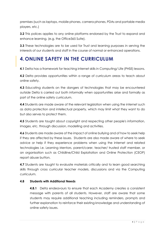premises (such as laptops, mobile phones, camera phones, PDAs and portable media players, etc.)

**3.2** This polices applies to any online platforms endorsed by the Trust to expand and enhance learning. (e.g. the Office365 Suite).

**3.3** These technologies are to be used for Trust and learning purposes in serving the interests of our students and staff in the course of normal or enhanced operations.

### <span id="page-4-0"></span>**4.ONLINE SAFETY IN THE CURRICULUM**

**4.1** Delta has a framework for teaching internet skills in Computing/ Life (PHSE) lessons.

**4.2** Delta provides opportunities within a range of curriculum areas to teach about online safety.

**4.3** Educating students on the dangers of technologies that may be encountered outside Delta is carried out both informally when opportunities arise and formally as part of the online safety curriculum.

**4.4** Students are made aware of the relevant legislation when using the internet such as data protection and intellectual property, which may limit what they want to do but also serves to protect them.

**4.5** Students are taught about copyright and respecting other people's information, images, etc. through discussion, modelling and activities.

**4.6** Students are made aware of the impact of online bullying and of how to seek help if they are affected by these issues. Students are also made aware of where to seek advice or help if they experience problems when using the internet and related technologies i.e. Learning Mentors, parent/carer, teacher/ trusted staff member, or an organisation such as Childline/Child Exploitation and Online Protection (CEOP) report abuse button.

**4.7** Students are taught to evaluate materials critically and to learn good searching skills through cross curricular teacher models, discussions and via the Computing curriculum.

### **4.8 Students with Additional Needs**

**4.8.1** Delta endeavours to ensure that each Academy creates a consistent message with parents of all students. However, staff are aware that some students may require additional teaching including reminders, prompts and further explanation to reinforce their existing knowledge and understanding of online safety issues.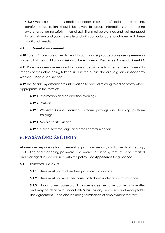**4.8.2** Where a student has additional needs in respect of social understanding, careful consideration should be given to group interactions when raising awareness of online safety. Internet activities must be planned and well managed for all children and young people and with particular care for children with these additional needs.

### **4.9 Parental Involvement**

**4.10** Parents/ carers are asked to read through and sign acceptable use agreements on behalf of their child on admission to the Academy. Please see **Appendix 2 and 2B.**

**4.11** Parents/ carers are required to make a decision as to whether they consent to images of their child being taken/ used in the public domain (e.g. on an Academy website). Please see **section 10.**

**4.12** The Academy disseminates information to parents relating to online safety where appropriate in the form of:

- **4.12.1** Information and celebration evenings;
- **4.12.2** Posters;
- **4.12.3** Website/ Online Learning Platform postings and learning platform training;
- **4.12.4** Newsletter items; and
- **4.12.5** Online, text message and email communication.

### <span id="page-5-0"></span>**5.PASSWORD SECURITY**

All users are responsible for implementing password security in all aspects of creating, protecting and managing passwords. Passwords for Delta systems must be created and managed in accordance with this policy. See **Appendix 3** for guidance.

### **5.1 Password Disclosure**

- **5.1.1** Users must not disclose their passwords to anyone.
- **5.1.2** Users must not write their passwords down under any circumstances.

**5.1.3** Unauthorised password disclosure is deemed a serious security matter and may be dealt with under Delta's Disciplinary Procedure and Acceptable Use Agreement, up to and including termination of employment for staff.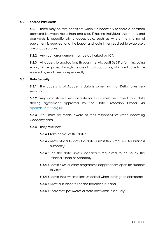### **5.2 Shared Passwords**

**5.2.1** There may be rare occasions when it is necessary to share a common password between more than one user, if having individual usernames and passwords is operationally unacceptable, such as where the sharing of equipment is required, and the logout and login times required to swap users are unacceptable.

**5.2.2** Any such arrangement **must** be authorised by ICT.

**5.2.3** All access to applications through the Microsoft 365 Platform including email, will be gained through the use of individual logins, which will have to be entered by each user independently.

### **5.3 Data Security**

**5.3.1** The accessing of Academy data is something that Delta takes very seriously.

**5.3.2** Any data shared with an external body must be subject to a data sharing agreement approved by the Data Protection Officer via dpo@deltatrust.org.uk.

**5.3.3** Staff must be made aware of their responsibilities when accessing Academy data.

### **5.3.4** They **must** not:

**5.3.4.1** Take copies of the data;

- **5.3.4.2** Allow others to view the data (unless this is required for business purposes);
- **5.3.4.3** Edit the data unless specifically requested to do so by the Principal/Head of Academy;
- **5.3.4.4** Leave SIMS or other programmes/applications open for students to view;
- **5.3.4.5** Leave their workstations unlocked when leaving the classroom;
- **5.3.4.6** Allow a student to use the teacher's PC; and
- **5.3.4.7** Share staff passwords or store passwords insecurely.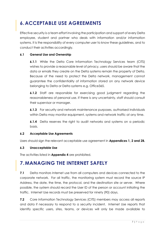# <span id="page-7-0"></span>**6.ACCEPTABLE USE AGREEMENTS**

Effective security is a team effort involving the participation and support of every Delta employee, student and partner who deals with information and/or information systems. It is the responsibility of every computer user to know these guidelines, and to conduct their activities accordingly.

### **6.1 General Use and Ownership**

**6.1.1** While the Delta Core Information Technology Services team (CITS) wishes to provide a reasonable level of privacy, users should be aware that the data or emails they create on the Delta systems remain the property of Delta. Because of the need to protect the Delta network, management cannot guarantee the confidentiality of information stored on any network device belonging to Delta or Delta systems e.g. Office365.

**6.1.2** Staff are responsible for exercising good judgment regarding the reasonableness of personal use. If there is any uncertainty, staff should consult their supervisor or manager.

**6.1.3** For security and network maintenance purposes, authorised individuals within Delta may monitor equipment, systems and network traffic at any time.

**6.1.4** Delta reserves the right to audit networks and systems on a periodic basis.

### **6.2 Acceptable Use Agreements**

Users should sign the relevant acceptable use agreement in **Appendices 1, 2 and 2B.**

### **6.3 Unacceptable Use**

The activities listed in **Appendix 4** are prohibited.

### <span id="page-7-1"></span>**7.MANAGING THE INTERNET SAFELY**

**7.1** Delta monitors Internet use from all computers and devices connected to the corporate network. For all traffic, the monitoring system must record the source IP Address, the date, the time, the protocol, and the destination site or server. Where possible, the system should record the User ID of the person or account initiating the traffic. Internet Use records must be preserved for ninety (90) days.

**7.2** Core Information Technology Services (CITS) members may access all reports and data if necessary to respond to a security incident. Internet Use reports that identify specific users, sites, teams, or devices will only be made available to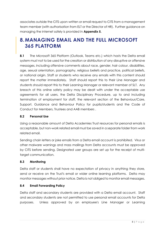associates outside the CITS upon written or email request to CITS from a management team member (with authorisation from ELT or the Director of HR). Further guidance on managing the internet safely is provided in **Appendix 5.**

# <span id="page-8-0"></span>**8.MANAGING EMAIL AND THE FULL MICROSOFT 365 PLATFORM**

**8.1** The Microsoft 365 Platform (Outlook, Teams etc.) which hosts the Delta email system must not to be used for the creation or distribution of any disruptive or offensive messages, including offensive comments about race, gender, hair colour, disabilities, age, sexual orientation, pornography, religious beliefs and practice, political beliefs, or national origin. Staff or students who receive any emails with this content should report the matter immediately. Staff should report this to their Line Manager and students should report this to their Learning Manager or relevant member of SLT. Any breach of this online safety policy may be dealt with under the acceptable use agreements for all users, the Delta Disciplinary Procedure, up to and including termination of employment for staff, the relevant section of the Behaviour/Care, Support, Guidance and Behaviour Policy for pupils/students and the Code of Conduct for Members, Trustees and AAB members .

### **8.2 Personal Use**

Using a reasonable amount of Delta Academies Trust resources for personal emails is acceptable, but non-work related email must be saved in a separate folder from work related email.

Sending chain letters or joke emails from a Delta email account is prohibited. Virus or other malware warnings and mass mailings from Delta accounts must be approved by CITS before sending. Designated user groups are set up for the receipt of multitarget communication.

### **8.3 Monitoring**

Delta staff or students shall have no expectation of privacy in anything they store, send or receive on the Trust's email or wider online learning platforms. Delta may monitor messages without prior notice. Delta is not obliged to monitor email messages.

### **8.4 Email Forwarding Policy**

Delta staff and secondary students are provided with a Delta email account. Staff and secondary students are not permitted to use personal email accounts for Delta purposes. Unless approved by an employee's Line Manager or Learning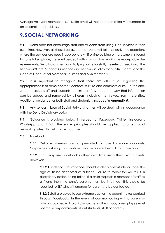Manager/relevant member of SLT, Delta email will not be automatically forwarded to an external email address.

# <span id="page-9-0"></span>**9. SOCIAL NETWORKING**

**9.1** Delta does not discourage staff and students from using such services in their own time. However, all should be aware that Delta will take seriously any occasions where the services are used inappropriately. If online bullying or harassment is found to have taken place, these will be dealt with in accordance with the Acceptable Use Agreements, Delta Harassment and Bullying policy for staff, the relevant section of the Behaviour/Care, Support, Guidance and Behaviour Policy for pupils/students and the Code of Conduct for Members, Trustees and AAB members.

**9.2** It is important to recognise that there are also issues regarding the appropriateness of some content, contact, culture and commercialism. To this end, we encourage staff and students to think carefully about the way that information can be added and removed by all users, including themselves, from these sites. Additional guidance for both staff and students is included in **Appendix 5.**

**9.3** Any serious misuse of Social Networking sites will be dealt with in accordance with the Delta Disciplinary policy.

**9.4** Guidance is provided below in respect of Facebook, Twitter, Instagram, WhatsApp and TikTok. The same principles should be applied to other social networking sites. This list is not exhaustive.

### **9.5 Facebook**

**9.5.1** Delta Academies are not permitted to have Facebook accounts. Corporate marketing accounts will only be allowed with ELT authorisation.

**9.5.2** Staff may use Facebook in their own time using their own IT assets. However:

**9.5.2.1** under no circumstances should students or ex-students under the age of 18 be accepted as a friend. Failure to follow this will result in disciplinary action being taken. If a child requests a member of staff as a friend then the child's parents must be informed. This should be reported to SLT who will arrange for parents to be contacted;

**9.5.2.2** staff are asked to use extreme caution if a parent makes contact through Facebook. In the event of communicating with a parent or adult associated with a child who attends the school, an employee must not make any comments about students, staff or parents;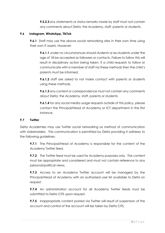**9.5.2.3** any statements or status remarks made by staff must not contain any comments about Delta, the Academy, staff, parents or students.

### **9.6 Instagram, WhatsApp, TikTok**

**9.6.1** Staff may use the above social networking sites in their own time using their own IT assets. However:

**9.6.1.1** under no circumstances should students or ex-students under the age of 18 be accepted as followers or contacts. Failure to follow this will result in disciplinary action being taken. If a child requests to follow or communicate with a member of staff via these methods then the child's parents must be informed.

**9.6.1.2** staff are asked to not make contact with parents or students using these methods.

**9.6.1.3** any content or correspondence must not contain any comments about Delta, the Academy, staff, parents or students.

**9.6.1.4** for any social media usage requests outside of this policy, please contact the Principal/Head of Academy or ICT department in the first instance.

### **9.7 Twitter**

Delta Academies may use Twitter social networking as method of communication with stakeholders. This communication is permitted by Delta providing it adheres to the following guidelines:

**9.7.1** The Principal/Head of Academy is responsible for the content of the Academy Twitter feed.

**9.7.2** The Twitter feed must be used for Academy purposes only. The content must be appropriate and considered and must not contain reference to any personal/political views.

**9.7.3** Access to an Academy Twitter account will be managed by the Principal/Head of Academy with an authorised user list available to Delta on request.

**9.7.4** An administration account for all Academy Twitter feeds must be submitted to Delta CITS upon request.

**9.7.5** Inappropriate content posted via Twitter will result of suspension of the account and control of the account will be taken by Delta CITS.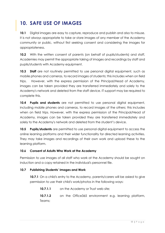# <span id="page-11-0"></span>**10. SAFE USE OF IMAGES**

**10.1** Digital images are easy to capture, reproduce and publish and also to misuse. It is not always appropriate to take or store images of any member of the Academy community or public, without first seeking consent and considering the images for appropriateness.

**10.2** With the written consent of parents (on behalf of pupils/students) and staff, Academies may permit the appropriate taking of images and recordings by staff and pupils/students with Academy equipment.

**10.3 Staff** are not routinely permitted to use personal digital equipment, such as mobile phones and cameras, to record images of students; this includes when on field trips. However, with the express permission of the Principal/Head of Academy, images can be taken provided they are transferred immediately and solely to the Academy's network and deleted from the staff device. IT support may be required to complete this.

**10.4 Pupils and students** are not permitted to use personal digital equipment, including mobile phones and cameras, to record images of the others; this includes when on field trips. However, with the express permission of the Principal/Head of Academy, images can be taken provided they are transferred immediately and solely to the Academy's network and deleted from the student's device.

**10.5 Pupils/students** are permitted to use personal digital equipment to access the online learning platforms and their wider functionality for directed learning activities. They may take images and recordings of their own work and upload these to the learning platform.

### **10.6 Consent of Adults Who Work at the Academy**

Permission to use images of all staff who work at the Academy should be sought on induction and a copy retained in the individual's personnel file.

### **10.7 Publishing Students' Images and Work**

**10.7.1** On a child's entry to the Academy, parents/carers will be asked to give permission to use their child's work/photos in the following ways:

**10.7.1.1** on the Academy or Trust web site: **10.7.1.2** on the Office365 environment e.g. learning platform, Teams;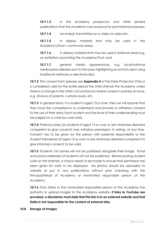**10.7.1.3** in the Academy prospectus and other printed publications that the Academy may produce for promotional purposes;

**10.7.1.4** recorded/ transmitted on a video or webcam;

**10.7.1.5** in display material that may be used in the Academy's/Trust's communal areas;

**10.7.1.6** in display material that may be used in external areas e.g. an exhibition promoting the Academy/Trust; and

**10.7.1.7** general media appearances, e.g. local/national media/press releases sent to the press highlighting an activity (sent using traditional methods or electronically).

**10.7.2** This consent form (please see **Appendix 4** of the Data Protection Policy) is considered valid for the entire period the child attends the Academy unless there is a change in the child's circumstances where consent could be an issue, e.g. divorce of parents, custody issues, etc.

**10.7.3** In general terms, if a student is aged 13 or over, then we will assume that they have the competence to understand and provide or withdraw consent to the use of their data. Each student and the level of their understanding must be judged on a case-by-case basis.

**10.7.4** Parents/carers (or students if aged 13 or over or are otherwise deemed competent to give consent) may withdraw permission, in writing, at any time. Consent has to be given by the person with parental responsibility or the student themselves (if aged 13 or over or are otherwise deemed competent to give informed consent) to be valid.

**10.7.5** Students' full names will not be published alongside their image. Email and postal addresses of students will not be published. Before posting student work on the Internet, a check needs to be made to ensure that permission has been given for work to be displayed. No photos should be uploaded to website or put in any publications without prior checking with the Principal/Head of Academy or nominated responsible person at the Academy.

**10.7.6** Only Delta or the nominated responsible person at the Academy has authority to upload images to the Academy website**. If links to YouTube are provided, a disclaimer must state that this link is to an external website and that Delta is not responsible for the content of external sites.**

### **10.8 Storage of Images**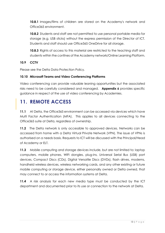**10.8.1** Images/films of children are stored on the Academy's network and Office365 environment.

**10.8.2** Students and staff are not permitted to use personal portable media for storage (e.g. USB sticks) without the express permission of the Director of ICT. Students and staff should use Office365 OneDrive for all storage.

**10.8.3** Rights of access to this material are restricted to the teaching staff and students within the confines of the Academy network/Online Learning Platform.

### **10.9 CCTV**

Please see the Delta Data Protection Policy.

### **10.10 Microsoft Teams and Video Conferencing Platforms**

Video conferencing can provide valuable leaning opportunities but the associated risks need to be carefully considered and managed. **Appendix 6** provides specific guidance in respect of the use of video conferencing by Academies.

### <span id="page-13-0"></span>**11. REMOTE ACCESS**

**11.1** At Delta, the Office365 environment can be accessed via devices which have Multi Factor Authentication (MFA). This applies to all devices connecting to the Office365 suite at Delta, regardless of ownership.

**11.2** The Delta network is only accessible to approved devices. Networks can be accessed from home with a Delta Virtual Private Network (VPN). The issue of VPNs is authorised on a needs basis. Requests to ICT will be discussed with the Principal/Head of Academy or ELT.

**11.3** Mobile computing and storage devices include, but are not limited to: laptop computers, mobile phones, WIFI dongles, plug-ins, Universal Serial Bus (USB) port devices, Compact Discs (CDs), Digital Versatile Discs (DVDs), flash drives, modems, handheld wireless devices, wireless networking cards, and any other existing or future mobile computing or storage device, either personally owned or Delta owned, that may connect to or access the information systems at Delta.

**11.4** A risk analysis for each new media type must be conducted by the ICT department and documented prior to its use or connection to the network at Delta.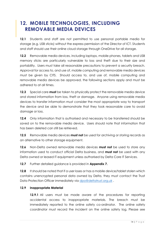### <span id="page-14-0"></span>**12. MOBILE TECHNOLOGIES, INCLUDING REMOVABLE MEDIA DEVICES**

**12.1** Students and staff are not permitted to use personal portable media for storage (e.g. USB sticks) without the express permission of the Director of ICT. Students and staff should use their online cloud storage through OneDrive for all storage.

**12.2** Removable media devices, including laptops, mobile phones, tablets and USB memory sticks are particularly vulnerable to loss and theft due to their size and portability. Users must take all reasonable precautions to prevent a security breach. Approval for access to, and use of, mobile computing and removable media devices must be given by CITS. Should access to, and use of, mobile computing and removable media devices be approved, the following sections apply and must be adhered to at all times.

**12.3** Special care **must** be taken to physically protect the removable media device and stored information from loss, theft or damage. Anyone using removable media devices to transfer information must consider the most appropriate way to transport the device and be able to demonstrate that they took reasonable care to avoid damage or loss.

**12.4** Only information that is authorised and necessary to be transferred should be saved on to the removable media device. Users should note that information that has been deleted can still be retrieved.

**12.5** Removable media devices **must not** be used for archiving or storing records as an alternative to other storage equipment.

**12.6** Non-Delta owned removable media devices **must not** be used to store any information used to conduct official Delta business, and **must not** be used with any Delta owned or leased IT equipment unless authorised by Delta Core IT Services.

**12.7** Further detailed guidance is provided in **Appendix 7.**

**12.8** It should be noted that if a user loses or has a mobile device/tablet stolen which contains unencrypted personal data owned by Delta, they must contact the Trust Data Protection Officer immediately via [dpo@deltatrust.org.uk](mailto:dpo@deltatrust.org.uk).

### **12.9 Inappropriate Material**

**12.9.1** All users must be made aware of the procedures for reporting accidental access to inappropriate materials. The breach must be immediately reported to the online safety co-ordinator. The online safety coordinator must record the incident on the online safety log. Please see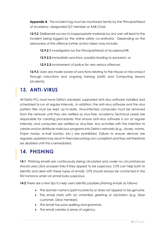**Appendix 8**. This incident log must be monitored termly by the Principal/Head of Academy, designated SLT member or AAB Chair.

**12.9.2** Deliberate access to inappropriate materials by any user will lead to the incident being logged by the online safety co-ordinator. Depending on the seriousness of the offence further action taken may include:

**12.9.2.1** investigation by the Principal/Head of Academy/HR;

**12.9.2.2** immediate sanctions, possibly leading to exclusion; or

**12.9.2.3** involvement of police for very serious offences.

**12.9.3** Users are made aware of sanctions relating to the misuse or misconduct through inductions and ongoing training (staff) and Computing lessons (students).

### <span id="page-15-0"></span>**13. ANTI-VIRUS**

All Delta PCs must have Delta's standard, supported anti-virus software installed and scheduled to run at regular intervals. In addition, the anti-virus software and the virus pattern files must be kept up-to-date. Virus-infected computers must be removed from the network until they are verified as virus-free. Academy Technical Leads are responsible for creating procedures that ensure anti-virus software is run at regular intervals, and computers are verified as virus-free. Any activities with the intention to create and/or distribute malicious programs into Delta's networks (e.g., viruses, worms, Trojan horses, e-mail bombs, etc.) are prohibited. Failure to ensure devices are regularly updated may result in them becoming non-compliant and they will therefore be disabled until this is remediated.

### <span id="page-15-1"></span>**14. PHISHING**

**14.1** Phishing emails are continuously being circulated and under no circumstances should users click on/open links if they appear to be suspicious. CITS can help both to identify and deal with these types of emails. CITS should always be contacted in the first instance when an email looks suspicious.

**14.2** There are a few tips to help users identify possible phishing emails as follows:

- The domain name is spelt incorrectly or does not appear to be genuine.
- The email starts with an unfamiliar greeting or salutation (e.g. Dear customer, Dear member).
- The email has poor spelling and grammar.
- The email creates a sense of urgency.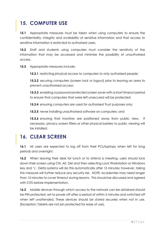# <span id="page-16-0"></span>**15. COMPUTER USE**

**15.1** Appropriate measures must be taken when using computers to ensure the confidentiality, integrity and availability of sensitive information and that access to sensitive information is restricted to authorised users.

**15.2** Staff and students using computers must consider the sensitivity of the information that may be accessed and minimise the possibility of unauthorised access.

**15.3** Appropriate measures include:

**15.3.1** restricting physical access to computers to only authorised people;

**15.3.2** securing computers (screen lock or logout) prior to leaving an area to prevent unauthorised access;

**15.3.3** enabling a password-protected screen saver with a short timeout period to ensure that computers that were left unsecured will be protected;

**15.3.4** ensuring computers are used for authorised Trust purposes only;

**15.3.5** never installing unauthorised software on computers; and

**15.3.6** ensuring that monitors are positioned away from public view. If necessary, privacy screen filters or other physical barriers to public viewing will be installed.

### <span id="page-16-1"></span>**16. CLEAR SCREEN**

**16.1** All users are expected to log off from their PCs/laptops when left for long periods and overnight.

**16.2** When leaving their desk for lunch or to attend a meeting, users should lock down their screen using Ctrl, Alt, Del and then selecting Lock Workstation or Windows key and 'L'. Delta systems will do this automatically after 15 minutes; however, taking this measure will further reduce any security risk. NOTE: Academies may need longer than 15 minutes to cover timeout during lessons. This should be discussed and agreed with CITS before implementation.

**16.3** Mobile devices through which access to the network can be obtained should be PIN protected, set to power off after a period of within 5 minutes and switched off when left unattended. These devices should be stored securely when not in use. (Exception: Tablets are not pin protected for ease of use).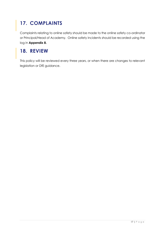# <span id="page-17-0"></span>**17. COMPLAINTS**

Complaints relating to online safety should be made to the online safety co-ordinator or Principal/Head of Academy. Online safety incidents should be recorded using the log in **Appendix 8.**

### <span id="page-17-1"></span>**18. REVIEW**

This policy will be reviewed every three years, or when there are changes to relevant legislation or DfE guidance.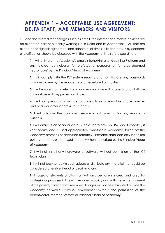### <span id="page-18-0"></span>**APPENDIX 1 – ACCEPTABLE USE AGREEMENT: DELTA STAFF, AAB MEMBERS AND VISITORS**

ICT and the related technologies such as email, the internet and mobile devices are an expected part of our daily working life in Delta and its Academies. All staff are expected to sign this agreement and adhere at all times to its contents. Any concerns or clarification should be discussed with the Academy online safety coordinator.

**1.** I will only use the Academy's email/Internet/Intranet/Learning Platform and any related technologies for professional purposes or for uses deemed 'reasonable' by the Principal/Head of Academy.

**2.** I will comply with the ICT system security and not disclose any passwords provided to me by the Academy or other related authorities.

**3.** I will ensure that all electronic communications with students and staff are compatible with my professional role.

**4.** I will not give out my own personal details, such as mobile phone number and personal email address, to students.

**5.** I will only use the approved, secure email system(s) for any Academy business.

**6.** I will ensure that personal data (such as data held on SIMS and Office365) is kept secure and is used appropriately, whether in Academy, taken off the Academy premises or accessed remotely. Personal data can only be taken out of Academy or accessed remotely when authorised by the Principal/Head of Academy.

**7.** I will not install any hardware of software without permission of the ICT technician.

**8.** I will not browse, download, upload or distribute any material that could be considered offensive, illegal or discriminatory.

**9.** Images of students and/or staff will only be taken, stored and used for professional purposes in line with Academy policy and with the written consent of the parent, carer or staff member. Images will not be distributed outside the Academy network/ Office365 environment without the permission of the parent/carer, member of staff or Principal/Head of Academy.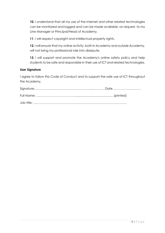**10.** I understand that all my use of the Internet and other related technologies can be monitored and logged and can be made available, on request, to my Line Manager or Principal/Head of Academy.

**11**. I will respect copyright and intellectual property rights.

**12.** I will ensure that my online activity, both in Academy and outside Academy, will not bring my professional role into disrepute.

**13.** I will support and promote the Academy's online safety policy and help students to be safe and responsible in their use of ICT and related technologies.

#### **User Signature**

I agree to follow this Code of Conduct and to support the safe use of ICT throughout the Academy.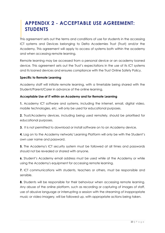# <span id="page-20-0"></span>**APPENDIX 2 - ACCEPTABLE USE AGREEMENT: STUDENTS**

This agreement sets out the terms and conditions of use for students in the accessing ICT systems and Devices belonging to Delta Academies Trust (Trust) and/or the Academy. This agreement will apply to access of systems both within the academy and when accessing remote learning.

Remote learning may be accessed from a personal device or an academy loaned device. This agreement sets out the Trust's expectations in the use of its ICT systems and its loaned devices and ensures compliance with the Trust Online Safety Policy.

### **Specific to Remote Learning**

Academy staff will initiate remote learning, with a timetable being shared with the Student/Parent/Carer in advance of the online learning.

### **Acceptable Use of IT within an Academy and for Remote Learning**

**1.** Academy ICT software and systems, including the internet, email, digital video, mobile technologies, etc. will only be used for educational purposes.

**2.** Trust/Academy devices, including being used remotely, should be prioritised for educational purposes.

**3.** It is not permitted to download or install software on to an Academy device.

**4.** Log on to the Academy network/ Learning Platform will only be with the Student's own user name and password.

**5.** The Academy's ICT security system must be followed at all times and passwords should not be revealed or shared with anyone.

**6.** Student's Academy email address must be used while at the Academy or while using the Academy's equipment for accessing remote learning.

**7.** ICT communications with students, teachers or others, must be responsible and sensible.

**8.** Students will be responsible for their behaviour when accessing remote learning. Any abuse of the online platform, such as recording or capturing of images of staff, use of abusive language or interrupting a session with the streaming of inappropriate music or video imagery, will be followed up, with appropriate actions being taken.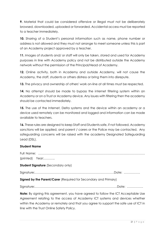**9.** Material that could be considered offensive or illegal must not be deliberately browsed, downloaded, uploaded or forwarded. Accidental access must be reported to a teacher immediately.

**10.** Sharing of a Student's personal information such as name, phone number or address is not allowed and they must not arrange to meet someone unless this is part of an Academy project approved by a teacher.

**11.** Images of students and/ or staff will only be taken, stored and used for Academy purposes in line with Academy policy and not be distributed outside the Academy network without the permission of the Principal/Head of Academy.

**12.** Online activity, both in Academy and outside Academy, will not cause the Academy, the staff, students or others distress or bring them into disrepute.

**13.** The privacy and ownership of others' work on-line at all times must be respected.

**14.** No attempt should be made to bypass the internet filtering system within an Academy or on a Trust or Academy device. Any issues with filtering then the academy should be contacted immediately.

**15.** The use of the Internet, Delta systems and the device within an academy or a device used remotely can be monitored and logged and information can be made available to teachers.

**16.** These rules are designed to keep Staff and Students safe, if not followed, Academy sanctions will be applied, and parent / carers or the Police may be contacted. Any safeguarding concerns will be raised with the academy Designated Safeguarding Lead (DSL).

### **Student Name**

Full Name: …………………………………………………………………………………………… (printed) Year:………..

**Student Signature** (Secondary only)

Signature:……………………………………………………………………Date: …………….

**Signed by the Parent/Carer** (Required for Secondary and Primary)

Signature:………………………………………………………………………Date: …………….

**Note:** By signing this agreement, you have agreed to follow the ICT Acceptable Use Agreement relating to the access of Academy ICT systems and devices whether within the Academy or remotely and that you agree to support the safe use of ICT in line with the Trust Online Safety Policy.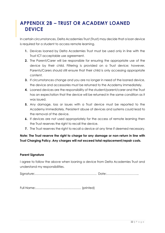# <span id="page-22-0"></span>**APPENDIX 2B – TRUST OR ACADEMY LOANED DEVICE**

In certain circumstances, Delta Academies Trust (Trust) may decide that a loan device is required for a student to access remote learning.

- **1.** Devices loaned by Delta Academies Trust must be used only in line with the Trust ICT acceptable use agreement.
- **2.** The Parent/Carer will be responsible for ensuring the appropriate use of the device by their child. Filtering is provided on a Trust device; however, Parents/Carers should still ensure that their child is only accessing appropriate content.
- **3.** If circumstances change and you are no longer in need of the loaned device, the device and accessories must be returned to the Academy immediately.
- **4.** Loaned devices are the responsibility of the student/parent/carer and the Trust has an expectation that the device will be returned in the same condition as it was issued.
- **5.** Any damage, loss or issues with a Trust device must be reported to the Academy immediately. Persistent abuse of devices and systems could lead to the removal of the device.
- **6.** If devices are not used appropriately for the access of remote learning then the Trust reserves the right to recall the device.
- **7.** The Trust reserves the right to recall a device at any time if deemed necessary.

### **Note: The Trust reserve the right to charge for any damage or non-return in line with Trust Charging Policy. Any charges will not exceed total replacement/repair costs.**

### **Parent Signature**

I agree to follow the above when loaning a device from Delta Academies Trust and understand my responsibilities.

Signature:……………………………………………………. Date:…………………………..

Full Name:……………………………………… (printed)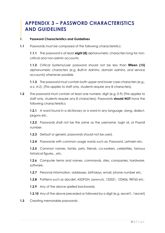# <span id="page-23-0"></span>**APPENDIX 3 – PASSWORD CHARACTERISTICS AND GUIDELINES**

### **1. Password Characteristics and Guidelines**

**1.1** Passwords must be composed of the following characteristics:

**1.1.1** The password is at least **eight (8)** alphanumeric characters long for noncritical and non-admin accounts.

**1.1.2** Critical Systems/user password should not be less than **fifteen (15)** alphanumeric characters (e.g. Built-in Admins, domain admins, and service accounts) whenever possible.

**1.1.3** The password must contain both upper and lower case characters (e.g., a-z, A-Z). (This applies to staff only, students require any 8 characters).

**1.2** The password must contain at least one numeric digit (e.g. 0-9) (This applies to staff only, students require any 8 characters). Passwords **should NOT** have the following characteristics:

**1.2.1** A word found in a dictionary or a word in any language, slang, dialect, jargons etc.

**1.2.2** Passwords shall not be the same as the username, login id, or Payroll number.

**1.2.3** Default or generic passwords should not be used.

**1.2.4** Passwords with common usage words such as: Password, Letmein etc.

**1.2.5** Common names, family, pets, friends, co-workers, celebrities, famous historical figures…etc.

**1.2.6** Computer terms and names, commands, sites, companies, hardware, software.

**1.2.7** Personal information, addresses, birthdays, email, phone number etc.

**1.2.8** Patterns such as abcdef, ASDFGH, zyxwvuts, 123321, 123456, 98765 etc.

**1.2.9** Any of the above spelled backwards.

**1.2.10** Any of the above preceded or followed by a digit (e.g. secret), 1 secret)

**1.3** Creating memorable passwords: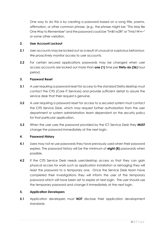One way to do this is by creating a password based on a song title, poems, affirmation, or other common phrase. (e.g., the phrase might be: "This May Be One Way to Remember" and the password could be "TmB1w2R!" or "Tmb1W>r~" or some other variation.

### **2. User Account Lockout**

- **2.1** User accounts may be locked out as a result of unusual or suspicious behaviour. We proactively monitor access to user accounts.
- **2.2** For certain secured applications passwords may be changed when user access accounts are locked out more than **one (1)** time per **thirty-six (36)** hour period.

#### **3. Password Reset**

- **3.1** A user requiring a password reset for access to the standard Delta desktop must contact the CITS (Core IT Services) and provide sufficient detail to assure the service desk that their request is genuine.
- **3.2** A user requiring a password reset for access to a secured system must contact the CITS Service Desk, which may request further authorisation from the user department or system administration team dependant on the security policy for that particular application.
- **3.3** When the user uses the password provided by the ICT Service Desk they **MUST** change the password immediately at the next login.

### **4. Password History**

- **4.1** Users may not re-use passwords they have previously used when their password expires. The password history will be the minimum of **eight (8)** passwords when possible.
- **4.2** If the CITS Service Desk needs user/desktop access so that they can gain physical access for work such as application installation or reimaging they will reset the password to a temporary one. Once the Service Desk team have completed their investigations they will inform the user of the temporary password which will have been set to expire at next login. The user should use the temporary password and change it immediately at the next login.

### **5. Application Developers**

**5.1** Application developers must **NOT** disclose their application development standards.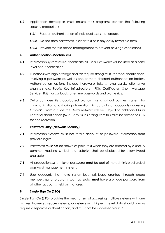- **5.2** Application developers must ensure their programs contain the following security precautions:
	- **5.2.1** Support authentication of individual users, not groups.
	- **5.2.2** Do not store passwords in clear text or in any easily reversible form.
	- **5.2.3** Provide for role based management to prevent privilege escalations.

#### **6. Authentication Mechanisms**

- **6.1** Information systems will authenticate all users. Passwords will be used as a base level of authentication.
- **6.2** Functions with high privilege and risk require strong multi-factor authentication, involving a password as well as one or more different authentication factors. Authentication options include hardware tokens, smartcards, alternative channels e.g. Public Key Infrastructure, (PKI), Certificates, Short Message Service (SMS), or callback, one-time passwords and biometrics.
- **6.3** Delta considers its cloud-based platform as a critical business system for communication and sharing information. As such, all staff accounts accessing Office365 from outside the Delta network will be subject to additional Multi Factor Authentication (MFA). Any issues arising from this must be passed to CITS for consideration.

### **7. Password Entry (Network Security)**

- **7.1** Information systems must not retain account or password information from previous logins.
- **7.2** Passwords **must not** be shown as plain-text when they are entered by a user. A common masking symbol (e.g. asterisk) shall be displayed for every typed character.
- **7.3** All production system-level passwords **must** be part of the administered global password management system.
- **7.4** User accounts that have system-level privileges granted through group memberships or programs such as "sudo" **must** have a unique password from all other accounts held by that user.

### **8. Single Sign On (SSO)**

Single Sign On (SSO) provides the mechanism of accessing multiple systems with one access. However, secure systems, or systems with higher IL level data should always require a separate authentication, and must not be accessed via SSO.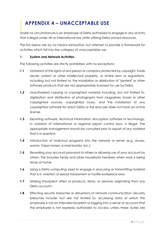# <span id="page-26-0"></span>**APPENDIX 4 – UNACCEPTABLE USE**

Under no circumstances is an employee of Delta authorised to engage in any activity that is illegal under UK or international law while utilising Delta owned resources.

The lists below are by no means exhaustive, but attempt to provide a framework for activities which fall into the category of unacceptable use.

### **1. System and Network Activities**

The following activities are strictly prohibited, with no exceptions:

- **1.1** Violations of the rights of any person or company protected by copyright, trade secret, patent or other intellectual property, or similar laws or regulations, including, but not limited to, the installation or distribution of "pirated" or other software products that are not appropriately licensed for use by Delta.
- **1.2** Unauthorized copying of copyrighted material including, but not limited to, digitization and distribution of photographs from magazines, books or other copyrighted sources, copyrighted music, and the installation of any copyrighted software for which Delta or the end user does not have an active license.
- **1.3** Exporting software, technical information, encryption software or technology, in violation of international or regional export control laws, is illegal. The appropriate management should be consulted prior to export of any material that is in question.
- **1.4** Introduction of malicious programs into the network or server (e.g. viruses, worms, Trojan horses, e-mail bombs, etc.).
- **1.5** Revealing your account password to others or allowing use of your account by others. This includes family and other household members when work is being done at home.
- **1.6** Using a Delta computing asset to engage in procuring or transmitting material that is in violation of sexual harassment or hostile workplace laws.
- **1.7** Making fraudulent offers of products, items, or services originating from any Delta account.
- **1.8** Effecting security breaches or disruptions of network communication. Security breaches include, but are not limited to, accessing data of which the employee is not an intended recipient or logging into a server or account that the employee is not expressly authorized to access, unless these duties are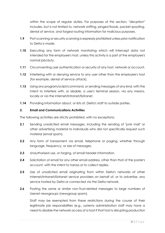within the scope of regular duties. For purposes of this section, "disruption" includes, but is not limited to, network sniffing, pinged floods, packet spoofing, denial of service, and forged routing information for malicious purposes.

- **1.9** Port scanning or security scanning is expressly prohibited unless prior notification to Delta is made.
- **1.10** Executing any form of network monitoring which will intercept data not intended for the employee's host, unless this activity is a part of the employee's normal job/duty.
- **1.11** Circumventing user authentication or security of any host, network or account.
- **1.12** Interfering with or denying service to any user other than the employee's host (for example, denial of service attack).
- **1.13** Using any program/script/command, or sending messages of any kind, with the intent to interfere with, or disable, a user's terminal session, via any means, locally or via the Internet/Intranet/Extranet.
- **1.14** Providing information about, or lists of, Delta's staff to outside parties.

### **2. Email and Communications Activities**

The following activities are strictly prohibited, with no exceptions:

- **2.1** Sending unsolicited email messages, including the sending of "junk mail" or other advertising material to individuals who did not specifically request such material (email spam).
- **2.2** Any form of harassment via email, telephone or paging, whether through language, frequency, or size of messages.
- **2.3** Unauthorised use, or forging, of email header information.
- **2.4** Solicitation of email for any other email address, other than that of the poster's account, with the intent to harass or to collect replies.
- **2.5** Use of unsolicited email originating from within Delta's networks of other Internet/Intranet/Extranet service providers on behalf of, or to advertise, any service hosted by Delta or connected via the Delta network.
- **2.6** Posting the same or similar non-Trust-related messages to large numbers of Usenet newsgroups (newsgroup spam).

Staff may be exempted from these restrictions during the course of their legitimate job responsibilities (e.g., systems administration staff may have a need to disable the network access of a host if that host is disrupting production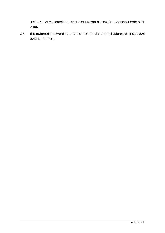services). Any exemption must be approved by your Line Manager before it is used.

**2.7** The automatic forwarding of Delta Trust emails to email addresses or account outside the Trust.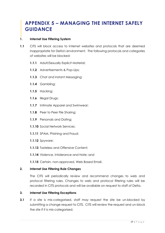# <span id="page-29-0"></span>**APPENDIX 5 – MANAGING THE INTERNET SAFELY GUIDANCE**

### **1. Internet Use Filtering System**

- **1.1** CITS will block access to Internet websites and protocols that are deemed inappropriate for Delta's environment. The following protocols and categories of websites will be blocked:
	- **1.1.1** Adult/Sexually Explicit Material;
	- **1.1.2** Advertisements & Pop-Ups;
	- **1.1.3** Chat and Instant Messaging;
	- **1.1.4** Gambling;
	- **1.1.5** Hacking;
	- **1.1.6** Illegal Drugs;
	- **1.1.7** Intimate Apparel and Swimwear;
	- **1.1.8** Peer to Peer File Sharing;
	- **1.1.9** Personals and Dating;
	- **1.1.10** Social Network Services;
	- **1.1.11** SPAM, Phishing and Fraud;
	- **1.1.12** Spyware;
	- **1.1.13** Tasteless and Offensive Content;
	- **1.1.14** Violence, Intolerance and Hate; and
	- **1.1.15** Certain, non-approved, Web Based Email.

### **2. Internet Use Filtering Rule Changes**

The CITS will periodically review and recommend changes to web and protocol filtering rules. Changes to web and protocol filtering rules will be recorded in CITS protocols and will be available on request to staff of Delta.

### **3. Internet Use Filtering Exceptions**

**3.1** If a site is mis-categorised, staff may request the site be un-blocked by submitting a change request to CITS. CITS will review the request and un-block the site if it is mis-categorised.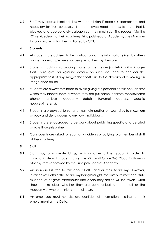**3.2** Staff may access blocked sites with permission if access is appropriate and necessary for Trust purposes. If an employee needs access to a site that is blocked and appropriately categorised, they must submit a request (via the ICT servicedesk) to their Academy Principal/Head of Academy/Line Manager for approval which is then actioned by CITS.

### **4. Students**

- **4.1** All students are advised to be cautious about the information given by others on sites, for example users not being who they say they are.
- **4.2** Students should avoid placing images of themselves (or details within images that could give background details) on such sites and to consider the appropriateness of any images they post due to the difficulty of removing an image once online.
- **4.3** Students are always reminded to avoid giving out personal details on such sites which may identify them or where they are (full name, address, mobile/home phone numbers, academy details, IM/email address, specific hobbies/interests).
- **4.4** Students are advised to set and maintain profiles on such sites to maximum privacy and deny access to unknown individuals.
- **4.5** Students are encouraged to be wary about publishing specific and detailed private thoughts online.
- **4.6** Our students are asked to report any incidents of bullying to a member of staff at the Academy.

### **5. Staff**

- **5.1** Staff may only create blogs, wikis or other online groups in order to communicate with students using the Microsoft Office 365 Cloud Platform or other systems approved by the Principal/Head of Academy.
- **5.2** An individual is free to talk about Delta and or their Academy. However, instances of Delta or the Academy being brought into disrepute may constitute misconduct or gross misconduct and disciplinary action will be taken. Staff should make clear whether they are communicating on behalf or the Academy or where opinions are their own.
- **5.3** An employee must not disclose confidential information relating to their employment at the Delta.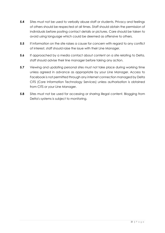- **5.4** Sites must not be used to verbally abuse staff or students. Privacy and feelings of others should be respected at all times. Staff should obtain the permission of individuals before posting contact details or pictures. Care should be taken to avoid using language which could be deemed as offensive to others.
- **5.5** If information on the site raises a cause for concern with regard to any conflict of interest, staff should raise the issue with their Line Manager.
- **5.6** If approached by a media contact about content on a site relating to Delta, staff should advise their line manager before taking any action.
- **5.7** Viewing and updating personal sites must not take place during working time unless agreed in advance as appropriate by your Line Manager. Access to Facebook is not permitted through any internet connection managed by Delta CITS (Core Information Technology Services) unless authorisation is obtained from CITS or your Line Manager.
- **5.8** Sites must not be used for accessing or sharing illegal content. Blogging from Delta's systems is subject to monitoring.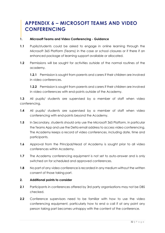# <span id="page-32-0"></span>**APPENDIX 6 – MICROSOFT TEAMS AND VIDEO CONFERENCING**

### **1. Microsoft Teams and Video Conferencing - Guidance**

- **1.1** Pupils/students could be asked to engage in online learning through the Microsoft 365 Platform (Teams) in the case or school closures or if there if an enhanced package of learning support available or allocated.
- **1.2** Permissions will be sought for activities outside of the normal routines of the academy.

**1.2.1** Permission is sought from parents and carers if their children are involved in video conferences.

**1.2.2** Permission is sought from parents and carers if their children are involved in video conferences with end-points outside of the Academy.

**1.3** All pupils/ students are supervised by a member of staff when video conferencing.

- **1.4** All pupils/ students are supervised by a member of staff when video conferencing with end-points beyond the Academy.
- **1.5** In Secondary, students should only use the Microsoft 365 Platform, in particular the Teams App and use the Delta email address to access video conferencing. The Academy keeps a record of video conferences, including date, time and participants.
- **1.6** Approval from the Principal/Head of Academy is sought prior to all video conferences within Academy.
- **1.7** The Academy conferencing equipment is not set to auto-answer and is only switched on for scheduled and approved conferences.
- **1.8** No part of any video conference is recorded in any medium without the written consent of those taking part.

### **2. Additional points to consider**

- **2.1** Participants in conferences offered by 3rd party organisations may not be DBS checked.
- **2.2** Conference supervisors need to be familiar with how to use the video conferencing equipment, particularly how to end a call if at any point any person taking part becomes unhappy with the content of the conference.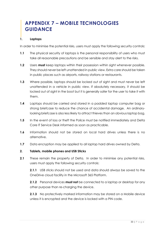# <span id="page-33-0"></span>**APPENDIX 7 – MOBILE TECHNOLOGIES GUIDANCE**

### **1. Laptops**

In order to minimise the potential risks, users must apply the following security controls:

- **1.1** The physical security of laptops is the personal responsibility of users who must take all reasonable precautions and be sensible and stay alert to the risks.
- **1.2** Users **must** keep laptops within their possession within sight whenever possible. They should never be left unattended in public view. Extra care should be taken in public places such as airports, railway stations or restaurants.
- **1.3** Where possible, laptops should be locked out of sight and must never be left unattended in a vehicle in public view. If absolutely necessary, it should be locked out of sight in the boot but it is generally safer for the user to take it with them.
- **1.4** Laptops should be carried and stored in a padded laptop computer bag or strong briefcase to reduce the chance of accidental damage. An ordinarylooking briefcase is also less likely to attract thieves than an obvious laptop bag.
- **1.5** In the event of loss or theft the Police must be notified immediately and Delta Core IT Service Desk informed as soon as practicable.
- **1.6** Information should not be stored on local hard drives unless there is no alternative.
- **1.7** Data encryption may be applied to all laptop hard drives owned by Delta.

### **2. Tablets, mobile phones and USB Sticks**

**2.1** These remain the property of Delta. In order to minimise any potential risks, users must apply the following security controls:

**2.1.1** USB sticks should not be used and data should always be saved to the OneDrive cloud facility in the Microsoft 365 Platform.

**2.1.2** Personal devices **must not** be connected to a laptop or desktop for any other purpose than re-charging the device.

**2.1.3** No protectively marked information may be stored on a Mobile device unless it is encrypted and the device is locked with a PIN code.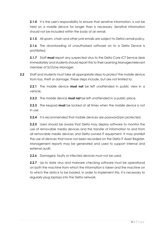**2.1.4** It is the user's responsibility to ensure that sensitive information, is not be held on a mobile device for longer than is necessary. Sensitive information should not be included within the body of an email.

**2.1.5** All spam, chain and other junk emails are subject to Delta's email policy.

**2.1.6** The downloading of unauthorised software on to a Delta Device is prohibited.

**2.1.7** Staff **must** report any suspected virus to the Delta Core ICT Service desk immediately and students should report this to their Learning Manager/relevant member of SLT/Line Manager.

**2.2** Staff and students must take all appropriate steps to protect the mobile device from loss, theft or damage. These steps include, but are not limited to:

**2.2.1** The mobile device **must not** be left unattended in public view in a vehicle,

**2.2.2** The mobile device **must not** be left unattended in a public place.

**2.2.3** The keypad **must** be locked at all times when the mobile device is not in use.

**2.2.4** It is recommended that mobile devices are password/pin protected.

**2.2.5** Users should be aware that Delta may deploy software to monitor the use of removable media devices and the transfer of information to and from all removable media devices and Delta owned IT equipment. It may prohibit the use of devices that have not been recorded on the Delta IT Asset Register. Management reports may be generated and used to support internal and external audit.

**2.2.6** Damaged, faulty or infected devices must not be used.

**2.2.7** Up-to date virus and malware checking software must be operational on both the machine from which the information is taken and the machine on to which the data is to be loaded. In order to implement this, it is necessary to regularly plug laptops into the Delta network.